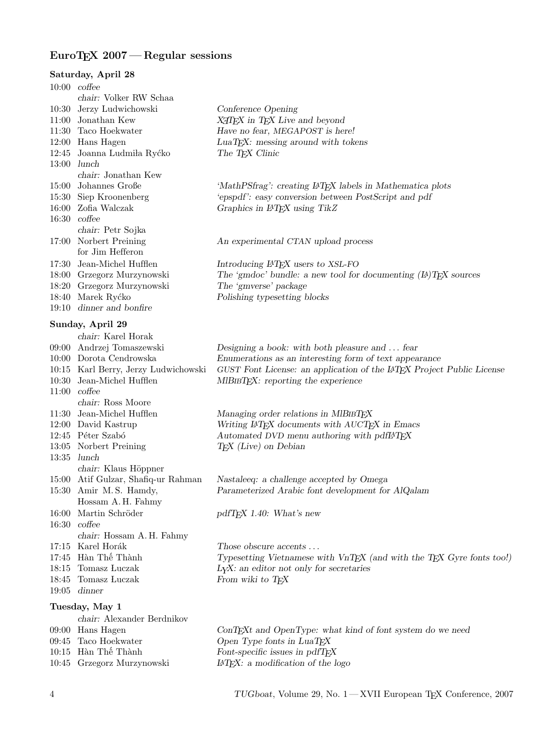## EuroTEX 2007 — Regular sessions

|               | Saturday, April 28                   |                                                                               |
|---------------|--------------------------------------|-------------------------------------------------------------------------------|
|               | $10:00$ coffee                       |                                                                               |
|               | chair: Volker RW Schaa               |                                                                               |
|               | 10:30 Jerzy Ludwichowski             | Conference Opening                                                            |
|               | 11:00 Jonathan Kew                   | XAIFX in TFX Live and beyond                                                  |
|               | 11:30 Taco Hoekwater                 | Have no fear, MEGAPOST is here!                                               |
|               | 12:00 Hans Hagen                     | LuaTEX: messing around with tokens                                            |
|               | 12:45 Joanna Ludmiła Ryćko           | The T <sub>E</sub> X Clinic                                                   |
|               | $13:00$ lunch                        |                                                                               |
|               | chair: Jonathan Kew                  |                                                                               |
|               | 15:00 Johannes Große                 | 'MathPSfrag': creating IATEX labels in Mathematica plots                      |
|               | 15:30 Siep Kroonenberg               | 'epspdf': easy conversion between PostScript and pdf                          |
|               | 16:00 Zofia Walczak                  | Graphics in IATEX using TikZ                                                  |
|               | $16:30$ coffee                       |                                                                               |
|               | chair: Petr Sojka                    |                                                                               |
|               | 17:00 Norbert Preining               | An experimental CTAN upload process                                           |
|               | for Jim Hefferon                     |                                                                               |
| 17:30         | Jean-Michel Hufflen                  | Introducing IATEX users to XSL-FO                                             |
|               | 18:00 Grzegorz Murzynowski           | The 'gmdoc' bundle: a new tool for documenting $(L)$ T <sub>E</sub> X sources |
|               | 18:20 Grzegorz Murzynowski           | The 'gmverse' package                                                         |
| 18:40         | Marek Ryćko                          | Polishing typesetting blocks                                                  |
| 19:10         | dinner and bonfire                   |                                                                               |
|               | Sunday, April 29                     |                                                                               |
|               | chair: Karel Horak                   |                                                                               |
| 09:00         | Andrzej Tomaszewski                  | Designing a book: with both pleasure and  fear                                |
|               | 10:00 Dorota Cendrowska              | Enumerations as an interesting form of text appearance                        |
|               | 10:15 Karl Berry, Jerzy Ludwichowski | GUST Font License: an application of the IATEX Project Public License         |
| 10:30         | Jean-Michel Hufflen                  | $MIBIBTFX:$ reporting the experience                                          |
|               | $11:00$ coffee                       |                                                                               |
|               | chair: Ross Moore                    |                                                                               |
| 11:30         | Jean-Michel Hufflen                  | Managing order relations in MIBIBTEX                                          |
|               | 12:00 David Kastrup                  | Writing IATEX documents with AUCTEX in Emacs                                  |
|               | 12:45 Péter Szabó                    | Automated DVD menu authoring with pdfI4TEX                                    |
|               | 13:05 Norbert Preining               | $T_{E}X$ (Live) on Debian                                                     |
| $13:35$ lunch | chair: Klaus Höppner                 |                                                                               |
|               | 15:00 Atif Gulzar, Shafiq-ur Rahman  | Nastaleeq: a challenge accepted by Omega                                      |
|               | 15:30 Amir M.S. Hamdy,               | Parameterized Arabic font development for AlQalam                             |
|               | Hossam A.H. Fahmy                    |                                                                               |
|               | 16:00 Martin Schröder                | pdfTEX 1.40: What's new                                                       |
|               | $16:30$ coffee                       |                                                                               |
|               | chair: Hossam A. H. Fahmy            |                                                                               |
|               | 17:15 Karel Horák                    | Those obscure accents                                                         |
|               | 17:45 Hàn Thế Thành                  | Typesetting Vietnamese with VnTEX (and with the TEX Gyre fonts too!)          |
| 18:15         | Tomasz Luczak                        | $LYX$ : an editor not only for secretaries                                    |
| 18:45         | Tomasz Luczak                        | From wiki to TEX                                                              |
|               | $19:05$ dinner                       |                                                                               |
|               | Tuesday, May 1                       |                                                                               |
|               | chair: Alexander Berdnikov           |                                                                               |
|               | 09:00 Hans Hagen                     | ConTEXt and OpenType: what kind of font system do we need                     |
|               |                                      |                                                                               |

- 09:45 Taco Hoekwater Open Type fonts in LuaTEX 10:15 Hàn Thế Thành Font-specific issues in pdfTE
- 10:15 Hàn Thế Thành Font-specific issues in pdfTEX<br>10:45 Grzegorz Murzynowski  $L^2$  BTEX: a modification of the<br> $\log$ 
	- $14TEX:$  a modification of the logo